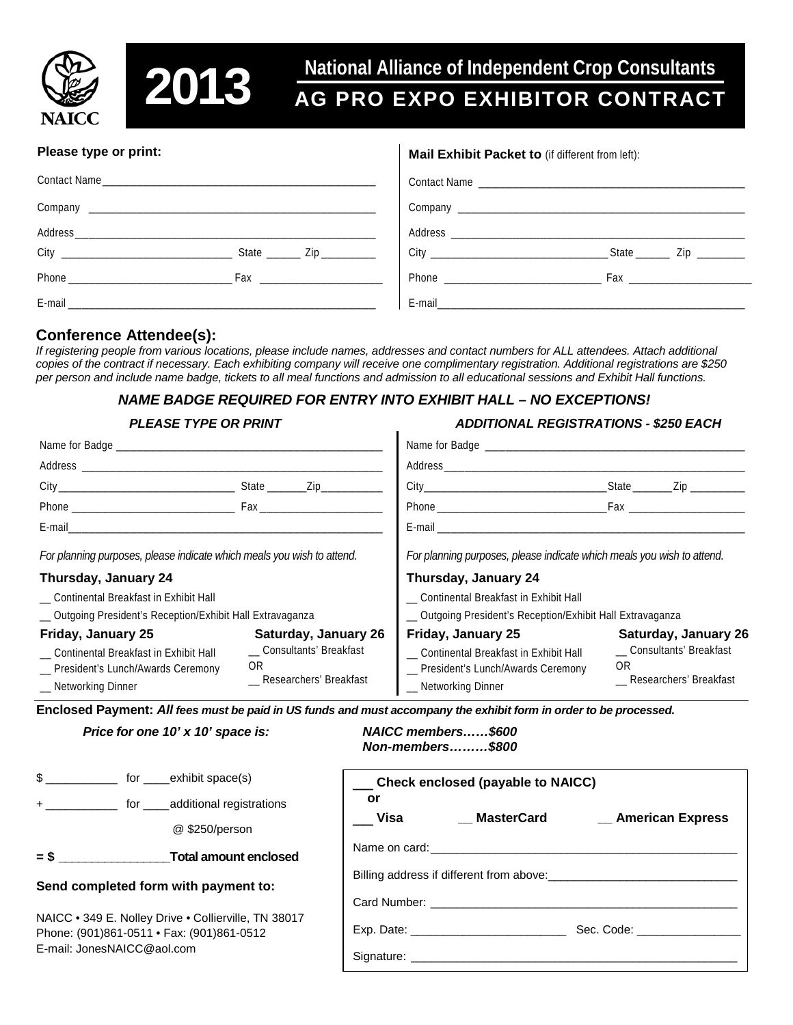



# **2013** Mational Alliance of Independent Crop Consultants<br> **2013** AG PRO EXPO EXHIBITOR CONTRACT

#### **Please type or print:**

#### Contact Name Company \_\_\_\_\_\_\_\_\_\_\_\_\_\_\_\_\_\_\_\_\_\_\_\_\_\_\_\_\_\_\_\_\_\_\_\_\_\_\_\_\_\_ City \_\_\_\_\_\_\_\_\_\_\_\_\_\_\_\_\_\_\_\_\_\_\_\_\_ State \_\_\_\_\_ Zip \_\_\_\_\_\_\_\_ Phone \_\_\_\_\_\_\_\_\_\_\_\_\_\_\_\_\_\_\_\_\_\_\_\_ Fax \_\_\_\_\_\_\_\_\_\_\_\_\_\_\_\_\_\_ E-mail \_\_\_\_\_\_\_\_\_\_\_\_\_\_\_\_\_\_\_\_\_\_\_\_\_\_\_\_\_\_\_\_\_\_\_\_\_\_\_\_\_\_\_\_\_ **Mail Exhibit Packet to** (if different from left): Contact Name \_\_\_\_\_\_\_\_\_\_\_\_\_\_\_\_\_\_\_\_\_\_\_\_\_\_\_\_\_\_\_\_\_\_\_\_\_\_\_ Company \_\_\_\_\_\_\_\_\_\_\_\_\_\_\_\_\_\_\_\_\_\_\_\_\_\_\_\_\_\_\_\_\_\_\_\_\_\_\_\_\_\_ Address \_\_\_\_\_\_\_\_\_\_\_\_\_\_\_\_\_\_\_\_\_\_\_\_\_\_\_\_\_\_\_\_\_\_\_\_\_\_\_\_\_\_\_ City \_\_\_\_\_\_\_\_\_\_\_\_\_\_\_\_\_\_\_\_\_\_\_\_\_\_ State \_\_\_\_\_ Zip \_\_\_\_\_\_\_ Phone \_\_\_\_\_\_\_\_\_\_\_\_\_\_\_\_\_\_\_\_\_\_\_ Fax \_\_\_\_\_\_\_\_\_\_\_\_\_\_\_\_\_\_ E-mail\_\_\_\_\_\_\_\_\_\_\_\_\_\_\_\_\_\_\_\_\_\_\_\_\_\_\_\_\_\_\_\_\_\_\_\_\_\_\_\_\_\_\_\_\_

## **Conference Attendee(s):**

Address\_\_\_\_\_\_\_\_\_\_\_\_\_\_\_\_\_\_\_\_\_\_\_\_\_\_\_\_\_\_\_\_\_\_\_\_\_\_\_\_\_\_\_\_

*If registering people from various locations, please include names, addresses and contact numbers for ALL attendees. Attach additional copies of the contract if necessary. Each exhibiting company will receive one complimentary registration. Additional registrations are \$250 per person and include name badge, tickets to all meal functions and admission to all educational sessions and Exhibit Hall functions.*

### *NAME BADGE REQUIRED FOR ENTRY INTO EXHIBIT HALL – NO EXCEPTIONS!*

#### *PLEASE TYPE OR PRINT ADDITIONAL REGISTRATIONS - \$250 EACH*

|                                                                                                                              |                                                                                           | Address__________________                                                                                                 |                                                                                   |
|------------------------------------------------------------------------------------------------------------------------------|-------------------------------------------------------------------------------------------|---------------------------------------------------------------------------------------------------------------------------|-----------------------------------------------------------------------------------|
|                                                                                                                              | State Zip                                                                                 |                                                                                                                           | _State ________Zip _________                                                      |
|                                                                                                                              |                                                                                           |                                                                                                                           |                                                                                   |
|                                                                                                                              |                                                                                           |                                                                                                                           |                                                                                   |
| For planning purposes, please indicate which meals you wish to attend.                                                       |                                                                                           | For planning purposes, please indicate which meals you wish to attend.                                                    |                                                                                   |
| Thursday, January 24                                                                                                         |                                                                                           | Thursday, January 24                                                                                                      |                                                                                   |
| __ Continental Breakfast in Exhibit Hall                                                                                     |                                                                                           | _ Continental Breakfast in Exhibit Hall                                                                                   |                                                                                   |
| _ Outgoing President's Reception/Exhibit Hall Extravaganza                                                                   |                                                                                           | _ Outgoing President's Reception/Exhibit Hall Extravaganza                                                                |                                                                                   |
| Friday, January 25<br>_ Continental Breakfast in Exhibit Hall<br>__ President's Lunch/Awards Ceremony<br>_ Networking Dinner | <b>Saturday, January 26</b><br>_ Consultants' Breakfast<br>0R<br>_ Researchers' Breakfast | Friday, January 25<br>Continental Breakfast in Exhibit Hall<br>_ President's Lunch/Awards Ceremony<br>_ Networking Dinner | Saturday, January 26<br>__ Consultants' Breakfast<br>0R<br>Researchers' Breakfast |

**Enclosed Payment:** *All fees must be paid in US funds and must accompany the exhibit form in order to be processed.*

*Price for one 10' x 10' space is: NAICC members……\$600*

*Non-members………\$800*

| $\mathbb S$                                                                                                                     | for ______exhibit space(s)     | Check enclosed (payable to NAICC)                                                                                                                                                                                                                           |
|---------------------------------------------------------------------------------------------------------------------------------|--------------------------------|-------------------------------------------------------------------------------------------------------------------------------------------------------------------------------------------------------------------------------------------------------------|
|                                                                                                                                 | + for additional registrations | or                                                                                                                                                                                                                                                          |
|                                                                                                                                 | @ \$250/person                 | Visa<br>MasterCard<br>__ American Express                                                                                                                                                                                                                   |
| $=$ \$                                                                                                                          | Total amount enclosed          |                                                                                                                                                                                                                                                             |
| Send completed form with payment to:                                                                                            |                                |                                                                                                                                                                                                                                                             |
|                                                                                                                                 |                                | Card Number: Electric Card Number:                                                                                                                                                                                                                          |
| NAICC . 349 E. Nolley Drive . Collierville, TN 38017<br>Phone: (901)861-0511 • Fax: (901)861-0512<br>E-mail: JonesNAICC@aol.com |                                | Exp. Date: The contract of the contract of the contract of the contract of the contract of the contract of the contract of the contract of the contract of the contract of the contract of the contract of the contract of the<br>Sec. Code: The Sec. Code: |
|                                                                                                                                 |                                |                                                                                                                                                                                                                                                             |